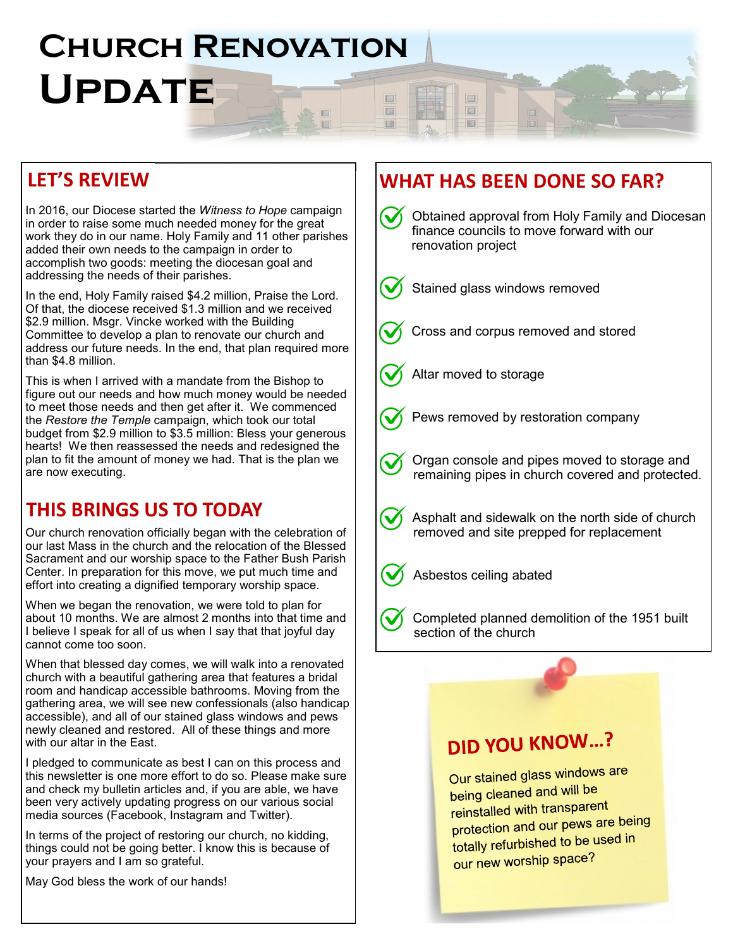#### **CHURCH RENOVATION** UPDATE FE E 国

#### LET'S REVIEW

In 2016, our Diocese started the Witness to Hope campaign in order to raise some much needed money for the great work they do in our name. Holy Family and 11 other parishes added their own needs to the campaign in order to accomplish two goods: meeting the diocesan goal and addressing the needs of their parishes.

In the end, Holy Family raised \$4.2 million, Praise the Lord. Of that, the diocese received \$1.3 million and we received \$2.9 million. Msgr. Vincke worked with the Building Committee to develop a plan to renovate our church and address our future needs. In the end, that plan required more than \$4.8 million.

This is when I arrived with a mandate from the Bishop to figure out our needs and how much money would be needed to meet those needs and then get after it. We commenced the Restore the Temple campaign, which took our total budget from \$2.9 million to \$3.5 million: Bless your generous hearts! We then reassessed the needs and redesigned the plan to fit the amount of money we had. That is the plan we are now executing.

## THIS BRINGS US TO TODAY

Our church renovation officially began with the celebration of our last Mass in the church and the relocation of the Blessed Sacrament and our worship space to the Father Bush Parish Center. In preparation for this move, we put much time and effort into creating a dignified temporary worship space.

When we began the renovation, we were told to plan for about 10 months. We are almost 2 months into that time and I believe I speak for all of us when I say that that joyful day cannot come too soon.

When that blessed day comes, we will walk into a renovated church with a beautiful gathering area that features a bridal room and handicap accessible bathrooms. Moving from the gathering area, we will see new confessionals (also handicap accessible), and all of our stained glass windows and pews newly cleaned and restored. All of these things and more with our altar in the East.

I pledged to communicate as best I can on this process and this newsletter is one more effort to do so. Please make sure and check my bulletin articles and, if you are able, we have been very actively updating progress on our various social media sources (Facebook, Instagram and Twitter).

In terms of the project of restoring our church, no kidding, things could not be going better. I know this is because of your prayers and I am so grateful.

May God bless the work of our hands!

## WHAT HAS BEEN DONE SO FAR?

 $\Box$ 

E 国

圖

圖



Our stained glass windows are being cleaned and will be reinstalled with transparent protection and our pews are being totally refurbished to be used in our new worship space?